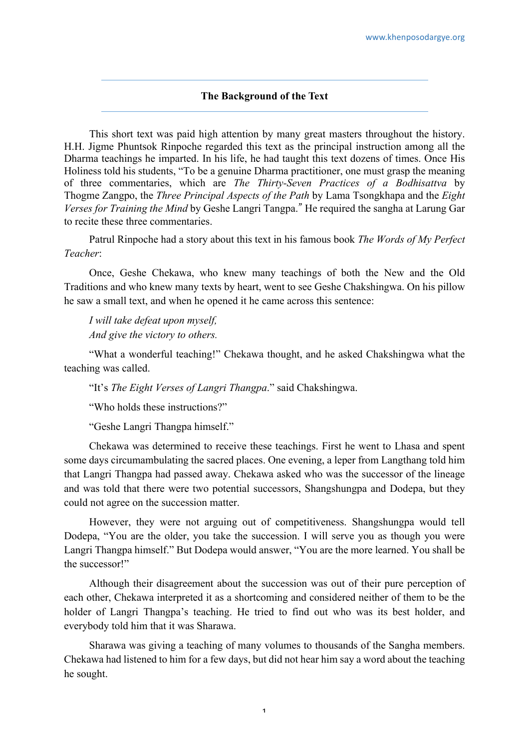## **The Background of the Text**

This short text was paid high attention by many great masters throughout the history. H.H. Jigme Phuntsok Rinpoche regarded this text as the principal instruction among all the Dharma teachings he imparted. In his life, he had taught this text dozens of times. Once His Holiness told his students, "To be a genuine Dharma practitioner, one must grasp the meaning of three commentaries, which are *The Thirty-Seven Practices of a Bodhisattva* by Thogme Zangpo, the *Three Principal Aspects of the Path* by Lama Tsongkhapa and the *Eight Verses for Training the Mind* by Geshe Langri Tangpa." He required the sangha at Larung Gar to recite these three commentaries.

Patrul Rinpoche had a story about this text in his famous book *The Words of My Perfect Teacher*:

Once, Geshe Chekawa, who knew many teachings of both the New and the Old Traditions and who knew many texts by heart, went to see Geshe Chakshingwa. On his pillow he saw a small text, and when he opened it he came across this sentence:

*I will take defeat upon myself, And give the victory to others.*

"What a wonderful teaching!" Chekawa thought, and he asked Chakshingwa what the teaching was called.

"It's *The Eight Verses of Langri Thangpa*." said Chakshingwa.

"Who holds these instructions?"

"Geshe Langri Thangpa himself."

Chekawa was determined to receive these teachings. First he went to Lhasa and spent some days circumambulating the sacred places. One evening, a leper from Langthang told him that Langri Thangpa had passed away. Chekawa asked who was the successor of the lineage and was told that there were two potential successors, Shangshungpa and Dodepa, but they could not agree on the succession matter.

However, they were not arguing out of competitiveness. Shangshungpa would tell Dodepa, "You are the older, you take the succession. I will serve you as though you were Langri Thangpa himself." But Dodepa would answer, "You are the more learned. You shall be the successor!"

Although their disagreement about the succession was out of their pure perception of each other, Chekawa interpreted it as a shortcoming and considered neither of them to be the holder of Langri Thangpa's teaching. He tried to find out who was its best holder, and everybody told him that it was Sharawa.

Sharawa was giving a teaching of many volumes to thousands of the Sangha members. Chekawa had listened to him for a few days, but did not hear him say a word about the teaching he sought.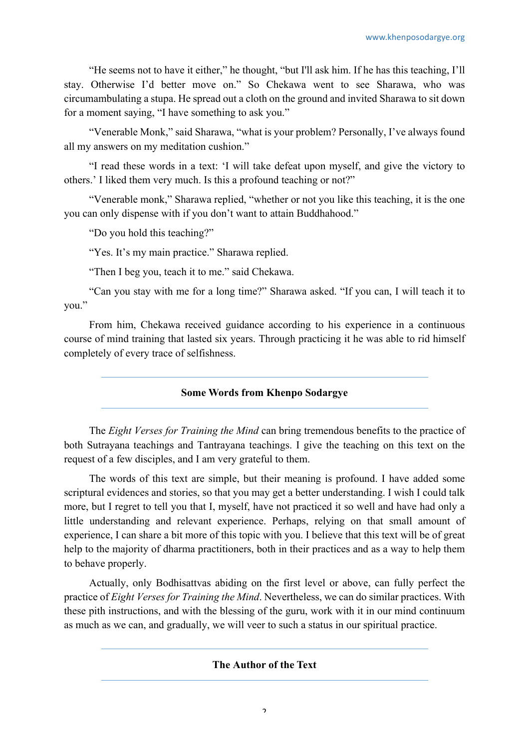"He seems not to have it either," he thought, "but I'll ask him. If he has this teaching, I'll stay. Otherwise I'd better move on." So Chekawa went to see Sharawa, who was circumambulating a stupa. He spread out a cloth on the ground and invited Sharawa to sit down for a moment saying, "I have something to ask you."

"Venerable Monk," said Sharawa, "what is your problem? Personally, I've always found all my answers on my meditation cushion."

"I read these words in a text: 'I will take defeat upon myself, and give the victory to others.' I liked them very much. Is this a profound teaching or not?"

"Venerable monk," Sharawa replied, "whether or not you like this teaching, it is the one you can only dispense with if you don't want to attain Buddhahood."

"Do you hold this teaching?"

"Yes. It's my main practice." Sharawa replied.

"Then I beg you, teach it to me." said Chekawa.

"Can you stay with me for a long time?" Sharawa asked. "If you can, I will teach it to you."

From him, Chekawa received guidance according to his experience in a continuous course of mind training that lasted six years. Through practicing it he was able to rid himself completely of every trace of selfishness.

## **Some Words from Khenpo Sodargye**

The *Eight Verses for Training the Mind* can bring tremendous benefits to the practice of both Sutrayana teachings and Tantrayana teachings. I give the teaching on this text on the request of a few disciples, and I am very grateful to them.

The words of this text are simple, but their meaning is profound. I have added some scriptural evidences and stories, so that you may get a better understanding. I wish I could talk more, but I regret to tell you that I, myself, have not practiced it so well and have had only a little understanding and relevant experience. Perhaps, relying on that small amount of experience, I can share a bit more of this topic with you. I believe that this text will be of great help to the majority of dharma practitioners, both in their practices and as a way to help them to behave properly.

Actually, only Bodhisattvas abiding on the first level or above, can fully perfect the practice of *Eight Verses for Training the Mind*. Nevertheless, we can do similar practices. With these pith instructions, and with the blessing of the guru, work with it in our mind continuum as much as we can, and gradually, we will veer to such a status in our spiritual practice.

**The Author of the Text**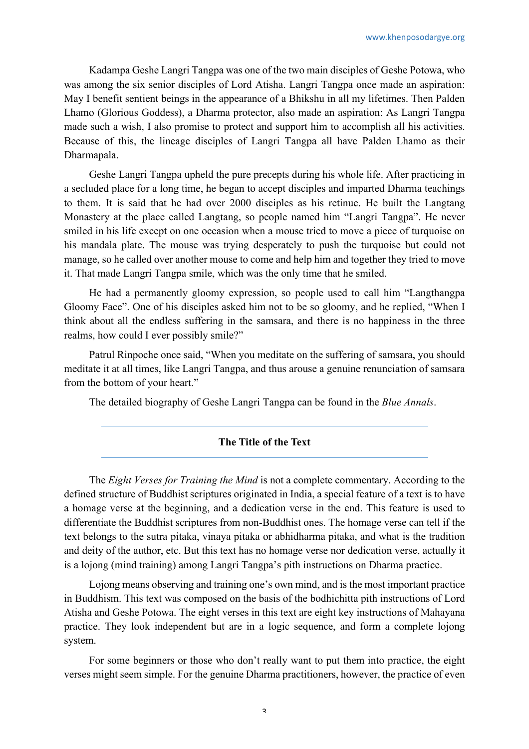Kadampa Geshe Langri Tangpa was one of the two main disciples of Geshe Potowa, who was among the six senior disciples of Lord Atisha. Langri Tangpa once made an aspiration: May I benefit sentient beings in the appearance of a Bhikshu in all my lifetimes. Then Palden Lhamo (Glorious Goddess), a Dharma protector, also made an aspiration: As Langri Tangpa made such a wish, I also promise to protect and support him to accomplish all his activities. Because of this, the lineage disciples of Langri Tangpa all have Palden Lhamo as their Dharmapala.

Geshe Langri Tangpa upheld the pure precepts during his whole life. After practicing in a secluded place for a long time, he began to accept disciples and imparted Dharma teachings to them. It is said that he had over 2000 disciples as his retinue. He built the Langtang Monastery at the place called Langtang, so people named him "Langri Tangpa". He never smiled in his life except on one occasion when a mouse tried to move a piece of turquoise on his mandala plate. The mouse was trying desperately to push the turquoise but could not manage, so he called over another mouse to come and help him and together they tried to move it. That made Langri Tangpa smile, which was the only time that he smiled.

He had a permanently gloomy expression, so people used to call him "Langthangpa Gloomy Face". One of his disciples asked him not to be so gloomy, and he replied, "When I think about all the endless suffering in the samsara, and there is no happiness in the three realms, how could I ever possibly smile?"

Patrul Rinpoche once said, "When you meditate on the suffering of samsara, you should meditate it at all times, like Langri Tangpa, and thus arouse a genuine renunciation of samsara from the bottom of your heart."

The detailed biography of Geshe Langri Tangpa can be found in the *Blue Annals*.

## **The Title of the Text**

The *Eight Verses for Training the Mind* is not a complete commentary. According to the defined structure of Buddhist scriptures originated in India, a special feature of a text is to have a homage verse at the beginning, and a dedication verse in the end. This feature is used to differentiate the Buddhist scriptures from non-Buddhist ones. The homage verse can tell if the text belongs to the sutra pitaka, vinaya pitaka or abhidharma pitaka, and what is the tradition and deity of the author, etc. But this text has no homage verse nor dedication verse, actually it is a lojong (mind training) among Langri Tangpa's pith instructions on Dharma practice.

Lojong means observing and training one's own mind, and is the most important practice in Buddhism. This text was composed on the basis of the bodhichitta pith instructions of Lord Atisha and Geshe Potowa. The eight verses in this text are eight key instructions of Mahayana practice. They look independent but are in a logic sequence, and form a complete lojong system.

For some beginners or those who don't really want to put them into practice, the eight verses might seem simple. For the genuine Dharma practitioners, however, the practice of even